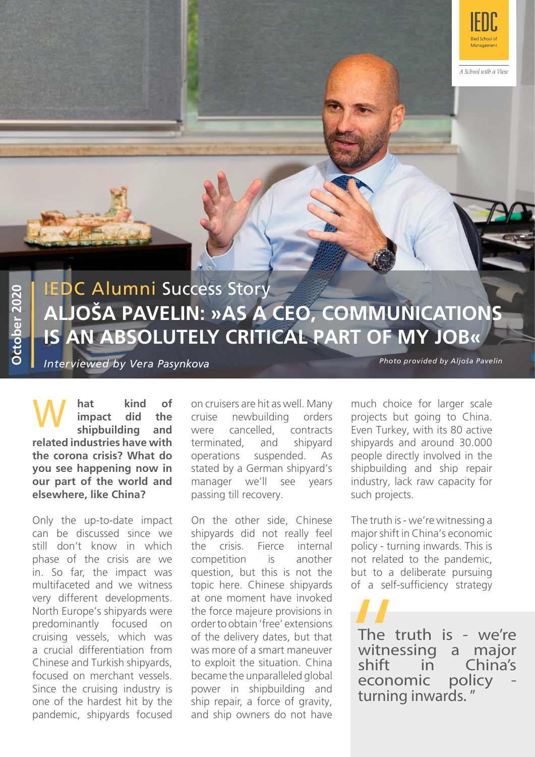

A School with a View

# IEDC Alumni Success Story **ALJOŠA PAVELIN: »AS A CEO, COMMUNICATIONS IS AN ABSOLUTELY CRITICAL PART OF MY JOB«**

*Interviewed by Vera Pasynkova*

*Photo provided by Aljoša Pavelin*

**kind impact** shipbuilding **related industries have with the corona crisis? What do you see happening now in our part of the world and elsewhere, like China?**

Only the up-to-date impact can be discussed since we still don't know in which phase of the crisis are we in. So far, the impact was multifaceted and we witness very different developments. North Europe's shipyards were predominantly focused on cruising vessels, which was a crucial differentiation from Chinese and Turkish shipyards, focused on merchant vessels. Since the cruising industry is one of the hardest hit by the pandemic, shipyards focused

**hat kind of** on cruisers are hit as well. Many<br> **impact did the** cruise newbuilding orders<br> **shipbuilding and** were cancelled contracts newbuilding cancelled. terminated, and shipyard operations suspended. As stated by a German shipyard's manager we'll see years passing till recovery.

> On the other side, Chinese shipyards did not really feel the crisis. Fierce internal competition is another question, but this is not the topic here. Chinese shipyards at one moment have invoked the force majeure provisions in order to obtain 'free' extensions of the delivery dates, but that was more of a smart maneuver to exploit the situation. China became the unparalleled global power in shipbuilding and ship repair, a force of gravity, and ship owners do not have

much choice for larger scale projects but going to China. Even Turkey, with its 80 active shipyards and around 30.000 people directly involved in the shipbuilding and ship repair industry, lack raw capacity for such projects.

The truth is - we're witnessing a major shift in China's economic policy - turning inwards. This is not related to the pandemic, but to a deliberate pursuing of a self-sufficiency strategy

The truth is - we're<br>witnessing a major witnessing<br>shift in in China's<br>ic policy economic The t<br>
The t<br>
witne:<br>
shift<br>
econo<br>
turning turning inwards. "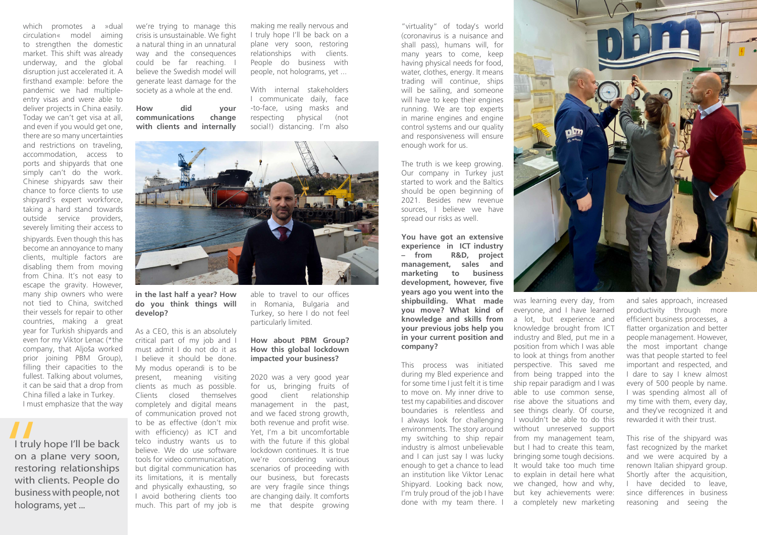which promotes a »dual circulation« model aiming to strengthen the domestic market. This shift was already underway, and the global disruption just accelerated it. A firsthand example: before the pandemic we had multipleentry visas and were able to deliver projects in China easily. Today we can't get visa at all, and even if you would get one, there are so many uncertainties and restrictions on traveling, accommodation, access to ports and shipyards that one simply can't do the work. Chinese shipyards saw their chance to force clients to use shipyard's expert workforce, taking a hard stand towards outside service providers, severely limiting their access to

shipyards. Even though this has become an annoyance to many clients, multiple factors are disabling them from moving from China. It's not easy to escape the gravity. However, many ship owners who were not tied to China, switched their vessels for repair to other countries, making a great year for Turkish shipyards and even for my Viktor Lenac (\*the company, that Aljoša worked prior joining PBM Group), filling their capacities to the fullest. Talking about volumes, it can be said that a drop from China filled a lake in Turkey. I must emphasize that the way

we're trying to manage this crisis is unsustainable. We fight a natural thing in an unnatural way and the consequences could be far reaching. I believe the Swedish model will generate least damage for the society as a whole at the end.

#### **How did your communications change with clients and internally**

making me really nervous and I truly hope I'll be back on a plane very soon, restoring relationships with clients. People do business with people, not holograms, yet ...

With internal stakeholders I communicate daily, face -to-face, using masks and respecting physical (not social!) distancing. I'm also



**in the last half a year? How do you think things will develop?**

As a CEO, this is an absolutely critical part of my job and I must admit I do not do it as I believe it should be done. My modus operandi is to be present, meaning visiting clients as much as possible. Clients closed themselves completely and digital means of communication proved not to be as effective (don't mix with efficiency) as ICT and telco industry wants us to believe. We do use software tools for video communication, but digital communication has its limitations, it is mentally and physically exhausting, so I avoid bothering clients too much. This part of my job is

able to travel to our offices in Romania, Bulgaria and Turkey, so here I do not feel particularly limited.

I truly hope I'll be back on a plane very soon, restoring relationships with clients. People do business with people, not holograms, yet ... I truly<br>
on a p<br>
restor<br>
with c

### **How about PBM Group? How this global lockdown impacted your business?**

2020 was a very good year for us, bringing fruits of good client relationship management in the past, and we faced strong growth, both revenue and profit wise. Yet, I'm a bit uncomfortable with the future if this global lockdown continues. It is true we're considering various scenarios of proceeding with our business, but forecasts are very fragile since things are changing daily. It comforts me that despite growing

"virtuality" of today's world (coronavirus is a nuisance and shall pass), humans will, for many years to come, keep having physical needs for food, water, clothes, energy. It means trading will continue, ships will be sailing, and someone will have to keep their engines running. We are top experts in marine engines and engine control systems and our quality and responsiveness will ensure enough work for us.

The truth is we keep growing. Our company in Turkey just started to work and the Baltics should be open beginning of 2021. Besides new revenue sources, I believe we have spread our risks as well.

**You have got an extensive experience in ICT industry – from R&D, project management, sales and marketing to business development, however, five years ago you went into the shipbuilding. What made you move? What kind of knowledge and skills from your previous jobs help you in your current position and company?** 

This process was initiated during my Bled experience and for some time I just felt it is time to move on. My inner drive to test my capabilities and discover boundaries is relentless and I always look for challenging environments. The story around my switching to ship repair industry is almost unbelievable and I can just say I was lucky enough to get a chance to lead an institution like Viktor Lenac Shipyard. Looking back now, I'm truly proud of the job I have done with my team there. I



was learning every day, from everyone, and I have learned a lot, but experience and knowledge brought from ICT industry and Bled, put me in a position from which I was able to look at things from another perspective. This saved me from being trapped into the ship repair paradigm and I was able to use common sense, rise above the situations and see things clearly. Of course, I wouldn't be able to do this without unreserved support from my management team, but I had to create this team, bringing some tough decisions. It would take too much time to explain in detail here what we changed, how and why, but key achievements were: a completely new marketing

and sales approach, increased productivity through more efficient business processes, a flatter organization and better people management. However, the most important change was that people started to feel important and respected, and I dare to say I knew almost every of 500 people by name. I was spending almost all of my time with them, every day, and they've recognized it and rewarded it with their trust.

This rise of the shipyard was fast recognized by the market and we were acquired by a renown Italian shipyard group. Shortly after the acquisition, I have decided to leave, since differences in business reasoning and seeing the